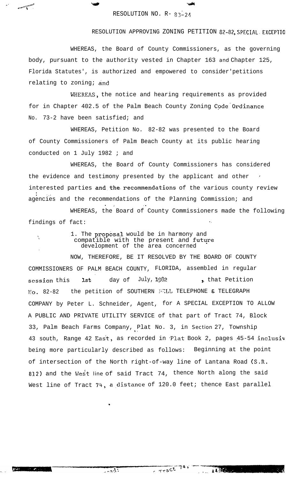## RESOLUTION NO. R- 83-24

'liwati a shekara ta 1982, a shekara ta 1982, a shekara ta 1982, a shekara ta 1982, a shekara ta 1982, a shekara

.'

م<br>مسيح *س*م

'\

.

 $2 - 22$ 

## RESOLUTION APPROVING ZONING PETITION 82-02,SPECIAL. **EXCEPTlO**

WHEREAS, the Board of County Commissioners, as the governing body, pursuant to the authority vested in Chapter 163 and Chapter 125, Florida Statutes', is authorized and empowered to consider'petitions relating to zoning; and

WHEREAS, the notice and hearing requirements as provided for in Chapter 402.5 of the Palm Beach County Zoning Code Ordinance No. 73-2 have been satisfied; and

WHEREAS, Petition No. 82-82 was presented to the Board of County Commissioners of Palm Beach County at its public hearing conducted on 1 July 1982 ; and

WHEREAS, the Board of County Commissioners has considered the evidence and testimony presented by the applicant and other ' interested parties and the recommendations of the various county review : .,1 agencies and the recommendations of the Planning Commission; and . <br> <br> 2 .-2 .-2 .-2 .-2 .-2 .-2 .-2  $\alpha$ 

WHEREAS, the Board of County Commissioners made the following findings of fact:

> 1. The proposal would be in harmony and compatible with the present and future development of the area concerned

NOW, THEREFORE, BE IT RESOLVED BY THE BOARD OF COUNTY COMMISSIONERS OF PALM BEACH COUNTY, FLORIDA, assembled in regular . session this lst day of July, 1982 , that Petition **No. 82-82** the petition of SOUTHERN FELL TELEPHONE & TELEGRAPH COMPANY by Peter L. Schneider, Agent, for A SPECIAL EXCEPTION TO ALLOW A PUBLIC AND PRIVATE UTILITY SERVICE of that part of Tract 74, Block 33, Palm Beach Farms Company, Plat No. 3, in Section 27, Township 43 south, Range 42 East, as recorded in Plat Book 2, pages 45-54 inclusiv being more particularly described as follows: Beginning at the point of intersection of the North right-of-way line of Lantana Road (S.R. 812) and the West line of said Tract 74, thence North along the said West line of Tract 74, a distance of 120.0 feet; thence East parallel

 $T_{r}$   $T_{r}$  act<sup>745</sup>

14350

.